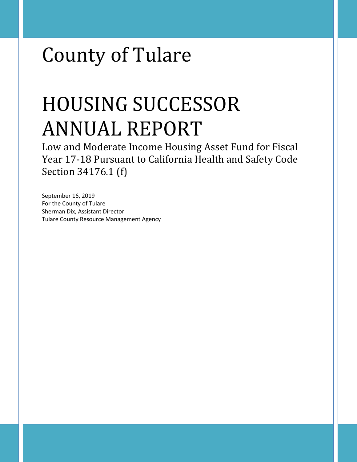# County of Tulare

# HOUSING SUCCESSOR ANNUAL REPORT

Low and Moderate Income Housing Asset Fund for Fiscal Year 17-18 Pursuant to California Health and Safety Code Section 34176.1 (f)

September 16, 2019 For the County of Tulare Sherman Dix, Assistant Director Tulare County Resource Management Agency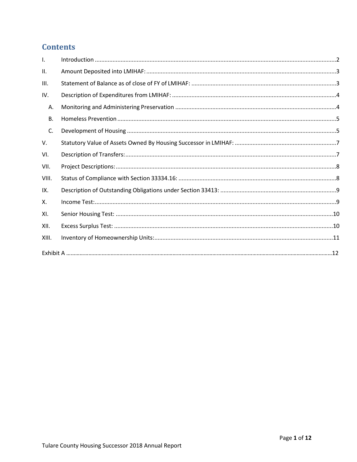# **Contents**

| $\mathbf{L}$ |  |
|--------------|--|
| ΙΙ.          |  |
| III.         |  |
| IV.          |  |
| Α.           |  |
| В.           |  |
| C.           |  |
| V.           |  |
| VI.          |  |
| VII.         |  |
| VIII.        |  |
| IX.          |  |
| Χ.           |  |
| XI.          |  |
| XII.         |  |
| XIII.        |  |
|              |  |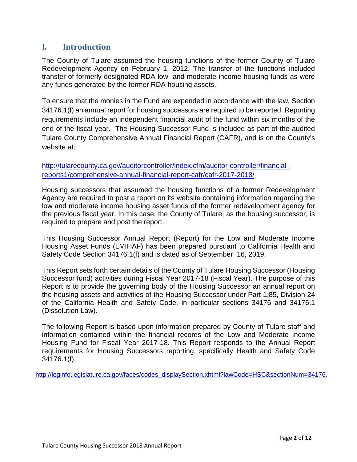# <span id="page-2-0"></span>**I. Introduction**

The County of Tulare assumed the housing functions of the former County of Tulare Redevelopment Agency on February 1, 2012. The transfer of the functions included transfer of formerly designated RDA low- and moderate-income housing funds as were any funds generated by the former RDA housing assets.

To ensure that the monies in the Fund are expended in accordance with the law, Section 34176.1(f) an annual report for housing successors are required to be reported. Reporting requirements include an independent financial audit of the fund within six months of the end of the fiscal year. The Housing Successor Fund is included as part of the audited Tulare County Comprehensive Annual Financial Report (CAFR), and is on the County's website at:

[http://tularecounty.ca.gov/auditorcontroller/index.cfm/auditor-controller/financial](http://tularecounty.ca.gov/auditorcontroller/index.cfm/auditor-controller/financial-reports1/comprehensive-annual-financial-report-cafr/cafr-2017-2018/)[reports1/comprehensive-annual-financial-report-cafr/cafr-2017-2018/](http://tularecounty.ca.gov/auditorcontroller/index.cfm/auditor-controller/financial-reports1/comprehensive-annual-financial-report-cafr/cafr-2017-2018/)

Housing successors that assumed the housing functions of a former Redevelopment Agency are required to post a report on its website containing information regarding the low and moderate income housing asset funds of the former redevelopment agency for the previous fiscal year. In this case, the County of Tulare, as the housing successor, is required to prepare and post the report.

This Housing Successor Annual Report (Report) for the Low and Moderate Income Housing Asset Funds (LMIHAF) has been prepared pursuant to California Health and Safety Code Section 34176.1(f) and is dated as of September 16, 2019.

This Report sets forth certain details of the County of Tulare Housing Successor (Housing Successor fund) activities during Fiscal Year 2017-18 (Fiscal Year). The purpose of this Report is to provide the governing body of the Housing Successor an annual report on the housing assets and activities of the Housing Successor under Part 1.85, Division 24 of the California Health and Safety Code, in particular sections 34176 and 34176.1 (Dissolution Law).

The following Report is based upon information prepared by County of Tulare staff and information contained within the financial records of the Low and Moderate Income Housing Fund for Fiscal Year 2017-18. This Report responds to the Annual Report requirements for Housing Successors reporting, specifically Health and Safety Code 34176.1(f).

[http://leginfo.legislature.ca.gov/faces/codes\\_displaySection.xhtml?lawCode=HSC&sectionNum=34176.](http://leginfo.legislature.ca.gov/faces/codes_displaySection.xhtml?lawCode=HSC§ionNum=34176.)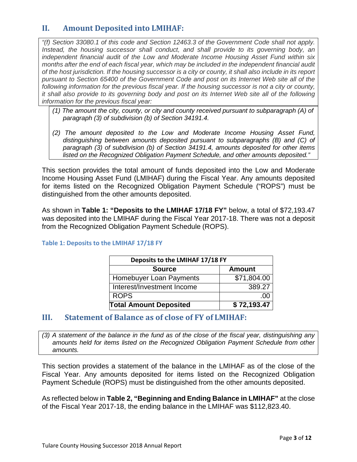# <span id="page-3-0"></span>**II. Amount Deposited into LMIHAF:**

*"(f) Section 33080.1 of this code and Section 12463.3 of the Government Code shall not apply. Instead, the housing successor shall conduct, and shall provide to its governing body, an independent financial audit of the Low and Moderate Income Housing Asset Fund within six months after the end of each fiscal year, which may be included in the independent financial audit of the host jurisdiction. If the housing successor is a city or county, it shall also include in its report pursuant to Section 65400 of the Government Code and post on its Internet Web site all of the following information for the previous fiscal year. If the housing successor is not a city or county, it shall also provide to its governing body and post on its Internet Web site all of the following information for the previous fiscal year:*

- *(1) The amount the city, county, or city and county received pursuant to subparagraph (A) of paragraph (3) of subdivision (b) of Section 34191.4.*
- *(2) The amount deposited to the Low and Moderate Income Housing Asset Fund, distinguishing between amounts deposited pursuant to subparagraphs (B) and (C) of paragraph (3) of subdivision (b) of Section 34191.4, amounts deposited for other items listed on the Recognized Obligation Payment Schedule, and other amounts deposited."*

This section provides the total amount of funds deposited into the Low and Moderate Income Housing Asset Fund (LMIHAF) during the Fiscal Year. Any amounts deposited for items listed on the Recognized Obligation Payment Schedule ("ROPS") must be distinguished from the other amounts deposited.

As shown in **Table 1: "Deposits to the LMIHAF 17/18 FY"** below, a total of \$72,193.47 was deposited into the LMIHAF during the Fiscal Year 2017-18. There was not a deposit from the Recognized Obligation Payment Schedule (ROPS).

| Deposits to the LMIHAF 17/18 FY |                  |  |  |  |  |
|---------------------------------|------------------|--|--|--|--|
| <b>Source</b><br><b>Amount</b>  |                  |  |  |  |  |
| Homebuyer Loan Payments         | \$71,804.00      |  |  |  |  |
| Interest/Investment Income      | 389.27           |  |  |  |  |
| <b>ROPS</b>                     | .00 <sub>1</sub> |  |  |  |  |
| <b>Total Amount Deposited</b>   | \$72,193.47      |  |  |  |  |

## **Table 1: Deposits to the LMIHAF 17/18 FY**

## <span id="page-3-1"></span>**III. Statement of Balance as of close of FY of LMIHAF:**

*(3) A statement of the balance in the fund as of the close of the fiscal year, distinguishing any amounts held for items listed on the Recognized Obligation Payment Schedule from other amounts.*

This section provides a statement of the balance in the LMIHAF as of the close of the Fiscal Year. Any amounts deposited for items listed on the Recognized Obligation Payment Schedule (ROPS) must be distinguished from the other amounts deposited.

As reflected below in **Table 2, "Beginning and Ending Balance in LMIHAF"** at the close of the Fiscal Year 2017-18, the ending balance in the LMIHAF was \$112,823.40.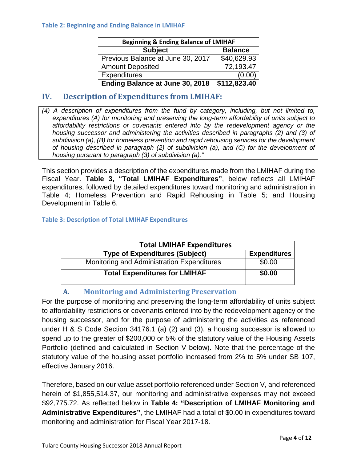#### **Table 2: Beginning and Ending Balance in LMIHAF**

| <b>Beginning &amp; Ending Balance of LMIHAF</b> |                |  |  |  |
|-------------------------------------------------|----------------|--|--|--|
| <b>Subject</b>                                  | <b>Balance</b> |  |  |  |
| Previous Balance at June 30, 2017               | \$40,629.93    |  |  |  |
| <b>Amount Deposited</b>                         | 72,193.47      |  |  |  |
| <b>Expenditures</b>                             | (0.00)         |  |  |  |
| Ending Balance at June 30, 2018                 | \$112,823.40   |  |  |  |

## <span id="page-4-0"></span>**IV. Description of Expenditures from LMIHAF:**

*(4) A description of expenditures from the fund by category, including, but not limited to, expenditures (A) for monitoring and preserving the long-term affordability of units subject to affordability restrictions or covenants entered into by the redevelopment agency or the housing successor and administering the activities described in paragraphs (2) and (3) of subdivision (a), (B) for homeless prevention and rapid rehousing services for the development of housing described in paragraph (2) of subdivision (a), and (C) for the development of housing pursuant to paragraph (3) of subdivision (a)."*

This section provides a description of the expenditures made from the LMIHAF during the Fiscal Year. **Table 3, "Total LMIHAF Expenditures"**, below reflects all LMIHAF expenditures, followed by detailed expenditures toward monitoring and administration in Table 4; Homeless Prevention and Rapid Rehousing in Table 5; and Housing Development in Table 6.

#### **Table 3: Description of Total LMIHAF Expenditures**

| <b>Total LMIHAF Expenditures</b>           |                     |  |  |  |
|--------------------------------------------|---------------------|--|--|--|
| <b>Type of Expenditures (Subject)</b>      | <b>Expenditures</b> |  |  |  |
| Monitoring and Administration Expenditures | \$0.00              |  |  |  |
| <b>Total Expenditures for LMIHAF</b>       | \$0.00              |  |  |  |

## **A. Monitoring and Administering Preservation**

<span id="page-4-1"></span>For the purpose of monitoring and preserving the long-term affordability of units subject to affordability restrictions or covenants entered into by the redevelopment agency or the housing successor, and for the purpose of administering the activities as referenced under H & S Code Section 34176.1 (a) (2) and (3), a housing successor is allowed to spend up to the greater of \$200,000 or 5% of the statutory value of the Housing Assets Portfolio (defined and calculated in Section V below). Note that the percentage of the statutory value of the housing asset portfolio increased from 2% to 5% under SB 107, effective January 2016.

Therefore, based on our value asset portfolio referenced under Section V, and referenced herein of \$1,855,514.37, our monitoring and administrative expenses may not exceed \$92,775.72. As reflected below in **Table 4: "Description of LMIHAF Monitoring and Administrative Expenditures"**, the LMIHAF had a total of \$0.00 in expenditures toward monitoring and administration for Fiscal Year 2017-18.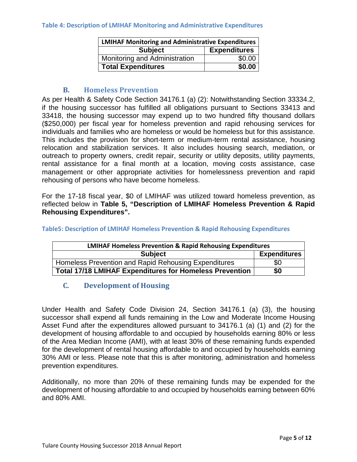#### **Table 4: Description of LMIHAF Monitoring and Administrative Expenditures**

| <b>LMIHAF Monitoring and Administrative Expenditures</b> |                     |  |  |  |
|----------------------------------------------------------|---------------------|--|--|--|
| <b>Subject</b>                                           | <b>Expenditures</b> |  |  |  |
| Monitoring and Administration                            | \$0.00              |  |  |  |
| <b>Total Expenditures</b>                                | \$0.00              |  |  |  |

## **B. Homeless Prevention**

<span id="page-5-0"></span>As per Health & Safety Code Section 34176.1 (a) (2): Notwithstanding Section 33334.2, if the housing successor has fulfilled all obligations pursuant to Sections 33413 and 33418, the housing successor may expend up to two hundred fifty thousand dollars (\$250,000) per fiscal year for homeless prevention and rapid rehousing services for individuals and families who are homeless or would be homeless but for this assistance. This includes the provision for short-term or medium-term rental assistance, housing relocation and stabilization services. It also includes housing search, mediation, or outreach to property owners, credit repair, security or utility deposits, utility payments, rental assistance for a final month at a location, moving costs assistance, case management or other appropriate activities for homelessness prevention and rapid rehousing of persons who have become homeless.

For the 17-18 fiscal year, \$0 of LMIHAF was utilized toward homeless prevention, as reflected below in **Table 5, "Description of LMIHAF Homeless Prevention & Rapid Rehousing Expenditures".**

| <b>LMIHAF Homeless Prevention &amp; Rapid Rehousing Expenditures</b> |                     |  |  |
|----------------------------------------------------------------------|---------------------|--|--|
| <b>Subject</b>                                                       | <b>Expenditures</b> |  |  |
| Homeless Prevention and Rapid Rehousing Expenditures                 | \$0                 |  |  |
| <b>Total 17/18 LMIHAF Expenditures for Homeless Prevention</b>       | \$0                 |  |  |

### **Table5: Description of LMIHAF Homeless Prevention & Rapid Rehousing Expenditures**

## <span id="page-5-1"></span>**C. Development of Housing**

Under Health and Safety Code Division 24, Section 34176.1 (a) (3), the housing successor shall expend all funds remaining in the Low and Moderate Income Housing Asset Fund after the expenditures allowed pursuant to 34176.1 (a) (1) and (2) for the development of housing affordable to and occupied by households earning 80% or less of the Area Median Income (AMI), with at least 30% of these remaining funds expended for the development of rental housing affordable to and occupied by households earning 30% AMI or less. Please note that this is after monitoring, administration and homeless prevention expenditures.

Additionally, no more than 20% of these remaining funds may be expended for the development of housing affordable to and occupied by households earning between 60% and 80% AMI.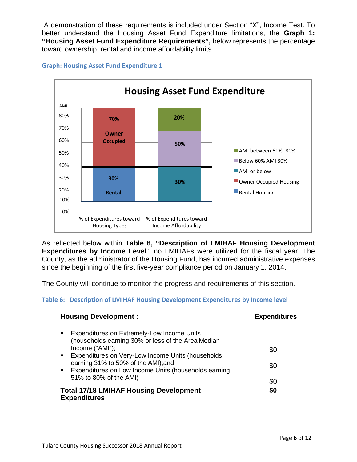A demonstration of these requirements is included under Section "X", Income Test. To better understand the Housing Asset Fund Expenditure limitations, the **Graph 1: "Housing Asset Fund Expenditure Requirements",** below represents the percentage toward ownership, rental and income affordability limits.



#### **Graph: Housing Asset Fund Expenditure 1**

As reflected below within **Table 6, "Description of LMIHAF Housing Development Expenditures by Income Level**", no LMIHAFs were utilized for the fiscal year. The County, as the administrator of the Housing Fund, has incurred administrative expenses since the beginning of the first five-year compliance period on January 1, 2014.

The County will continue to monitor the progress and requirements of this section.

#### **Table 6: Description of LMIHAF Housing Development Expenditures by Income level**

| <b>Housing Development:</b>                                                                                                                                                                                                                                                  | <b>Expenditures</b> |
|------------------------------------------------------------------------------------------------------------------------------------------------------------------------------------------------------------------------------------------------------------------------------|---------------------|
|                                                                                                                                                                                                                                                                              |                     |
| Expenditures on Extremely-Low Income Units<br>(households earning 30% or less of the Area Median<br>Income ("AMI");<br>Expenditures on Very-Low Income Units (households<br>٠<br>earning 31% to 50% of the AMI); and<br>Expenditures on Low Income Units (households earning | \$0<br>\$0          |
| 51% to 80% of the AMI)<br><b>Total 17/18 LMIHAF Housing Development</b>                                                                                                                                                                                                      | \$0<br>\$0          |
| <b>Expenditures</b>                                                                                                                                                                                                                                                          |                     |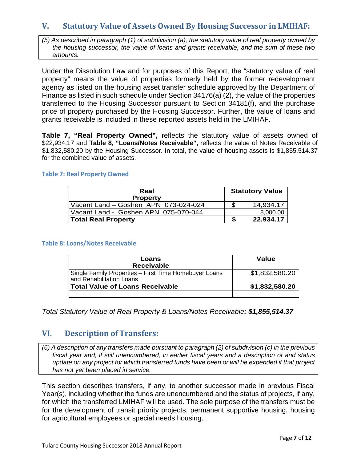# <span id="page-7-0"></span>**V. Statutory Value of Assets Owned By Housing Successor in LMIHAF:**

*(5) As described in paragraph (1) of subdivision (a), the statutory value of real property owned by the housing successor, the value of loans and grants receivable, and the sum of these two amounts.*

Under the Dissolution Law and for purposes of this Report, the "statutory value of real property" means the value of properties formerly held by the former redevelopment agency as listed on the housing asset transfer schedule approved by the Department of Finance as listed in such schedule under Section 34176(a) (2), the value of the properties transferred to the Housing Successor pursuant to Section 34181(f), and the purchase price of property purchased by the Housing Successor. Further, the value of loans and grants receivable is included in these reported assets held in the LMIHAF.

**Table 7, "Real Property Owned",** reflects the statutory value of assets owned of \$22,934.17 and **Table 8, "Loans/Notes Receivable",** reflects the value of Notes Receivable of \$1,832,580.20 by the Housing Successor. In total, the value of housing assets is \$1,855,514.37 for the combined value of assets.

#### **Table 7: Real Property Owned**

| Real<br><b>Property</b>              |  | <b>Statutory Value</b> |
|--------------------------------------|--|------------------------|
| Vacant Land - Goshen APN 073-024-024 |  | 14,934.17              |
| Vacant Land - Goshen APN 075-070-044 |  | 8,000.00               |
| <b>Total Real Property</b>           |  | 22,934.17              |

#### **Table 8: Loans/Notes Receivable**

| Loans<br><b>Receivable</b>                                                        | Value          |
|-----------------------------------------------------------------------------------|----------------|
| Single Family Properties - First Time Homebuyer Loans<br>and Rehabilitation Loans | \$1,832,580.20 |
| Total Value of Loans Receivable                                                   | \$1,832,580.20 |
|                                                                                   |                |

*Total Statutory Value of Real Property & Loans/Notes Receivable: \$1,855,514.37*

## <span id="page-7-1"></span>**VI. Description of Transfers:**

*(6) A description of any transfers made pursuant to paragraph (2) of subdivision (c) in the previous fiscal year and, if still unencumbered, in earlier fiscal years and a description of and status update on any project for which transferred funds have been or will be expended if that project has not yet been placed in service.*

This section describes transfers, if any, to another successor made in previous Fiscal Year(s), including whether the funds are unencumbered and the status of projects, if any, for which the transferred LMIHAF will be used. The sole purpose of the transfers must be for the development of transit priority projects, permanent supportive housing, housing for agricultural employees or special needs housing.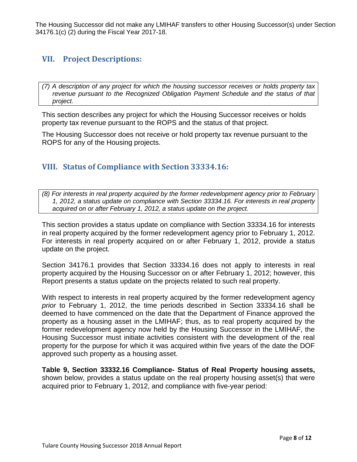The Housing Successor did not make any LMIHAF transfers to other Housing Successor(s) under Section 34176.1(c) (2) during the Fiscal Year 2017-18.

# <span id="page-8-0"></span>**VII. Project Descriptions:**

*(7) A description of any project for which the housing successor receives or holds property tax revenue pursuant to the Recognized Obligation Payment Schedule and the status of that project.*

This section describes any project for which the Housing Successor receives or holds property tax revenue pursuant to the ROPS and the status of that project.

The Housing Successor does not receive or hold property tax revenue pursuant to the ROPS for any of the Housing projects.

# <span id="page-8-1"></span>**VIII. Status of Compliance with Section 33334.16:**

*(8) For interests in real property acquired by the former redevelopment agency prior to February 1, 2012, a status update on compliance with Section 33334.16. For interests in real property acquired on or after February 1, 2012, a status update on the project.*

This section provides a status update on compliance with Section 33334.16 for interests in real property acquired by the former redevelopment agency prior to February 1, 2012. For interests in real property acquired on or after February 1, 2012, provide a status update on the project.

Section 34176.1 provides that Section 33334.16 does not apply to interests in real property acquired by the Housing Successor on or after February 1, 2012; however, this Report presents a status update on the projects related to such real property.

With respect to interests in real property acquired by the former redevelopment agency *prior* to February 1, 2012, the time periods described in Section 33334.16 shall be deemed to have commenced on the date that the Department of Finance approved the property as a housing asset in the LMIHAF; thus, as to real property acquired by the former redevelopment agency now held by the Housing Successor in the LMIHAF, the Housing Successor must initiate activities consistent with the development of the real property for the purpose for which it was acquired within five years of the date the DOF approved such property as a housing asset.

**Table 9, Section 33332.16 Compliance- Status of Real Property housing assets,**  shown below, provides a status update on the real property housing asset(s) that were acquired prior to February 1, 2012, and compliance with five‐year period: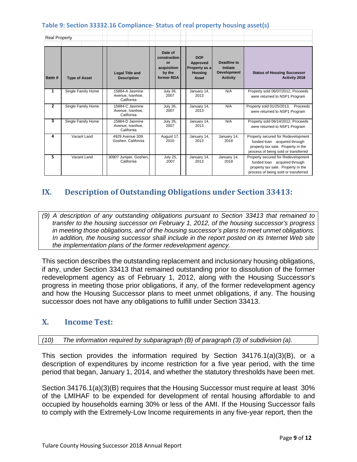#### **Table 9: Section 33332.16 Compliance- Status of real property housing asset(s)**

| <b>Real Property</b>    |                      |                                                   |                                                                      |                                                                    |                                                                  |                                                                                                                                                  |
|-------------------------|----------------------|---------------------------------------------------|----------------------------------------------------------------------|--------------------------------------------------------------------|------------------------------------------------------------------|--------------------------------------------------------------------------------------------------------------------------------------------------|
| Item#                   | <b>Type of Asset</b> | <b>Legal Title and</b><br><b>Description</b>      | Date of<br>construction<br>or<br>acquisition<br>by the<br>former RDA | <b>DOF</b><br>Approved<br>Property as a<br><b>Housing</b><br>Asset | Deadline to<br>Initiate<br><b>Development</b><br><b>Activity</b> | <b>Status of Housing Successor</b><br>Activity 2018                                                                                              |
| $\mathbf{1}$            | Single Family Home   | 15884-A Jasmine<br>Avenue, Ivanhoe.<br>California | <b>July 26,</b><br>2007                                              | January 14,<br>2013                                                | N/A                                                              | Property sold 06/07/2012, Proceeds<br>were returned to NSP1 Program                                                                              |
| $\overline{2}$          | Single Family Home   | 15884-C Jasmine<br>Avenue, Ivanhoe,<br>California | <b>July 26,</b><br>2007                                              | January 14,<br>2013                                                | N/A                                                              | Property sold 01/25/2013,<br>Proceeds<br>were returned to NSP1 Program                                                                           |
| $\overline{\mathbf{3}}$ | Single Family Home   | 15884-D Jasmine<br>Avenue, Ivanhoe,<br>California | <b>July 26,</b><br>2007                                              | January 14,<br>2013                                                | N/A                                                              | Property sold 06/14/2012, Proceeds<br>were returned to NSP1 Program                                                                              |
| 4                       | Vacant Land          | 4929 Avenue 309.<br>Goshen, California            | August 17,<br>2010                                                   | January 14,<br>2013                                                | January 14,<br>2018                                              | Property secured for Redevelopment<br>funded loan acquired through<br>property tax sale. Property in the<br>process of being sold or transferred |
| 5                       | Vacant Land          | 30907 Juniper, Goshen,<br>California              | <b>July 25,</b><br>2007                                              | January 14,<br>2013                                                | January 14,<br>2018                                              | Property secured for Redevelopment<br>funded loan acquired through<br>property tax sale. Property in the<br>process of being sold or transferred |

# <span id="page-9-0"></span>**IX. Description of Outstanding Obligations under Section 33413:**

*(9) A description of any outstanding obligations pursuant to Section 33413 that remained to transfer to the housing successor on February 1, 2012, of the housing successor's progress in meeting those obligations, and of the housing successor's plans to meet unmet obligations. In addition, the housing successor shall include in the report posted on its Internet Web site the implementation plans of the former redevelopment agency.*

This section describes the outstanding replacement and inclusionary housing obligations, if any, under Section 33413 that remained outstanding prior to dissolution of the former redevelopment agency as of February 1, 2012, along with the Housing Successor's progress in meeting those prior obligations, if any, of the former redevelopment agency and how the Housing Successor plans to meet unmet obligations, if any. The housing successor does not have any obligations to fulfill under Section 33413.

## <span id="page-9-1"></span>**X. Income Test:**

*(10) The information required by subparagraph (B) of paragraph (3) of subdivision (a).*

This section provides the information required by Section 34176.1(a)(3)(B), or a description of expenditures by income restriction for a five year period, with the time period that began, January 1, 2014, and whether the statutory thresholds have been met.

Section 34176.1(a)(3)(B) requires that the Housing Successor must require at least 30% of the LMIHAF to be expended for development of rental housing affordable to and occupied by households earning 30% or less of the AMI. If the Housing Successor fails to comply with the Extremely-Low Income requirements in any five-year report, then the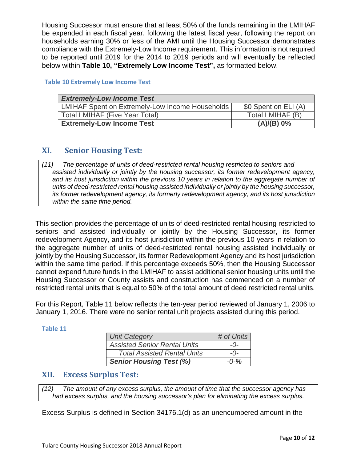Housing Successor must ensure that at least 50% of the funds remaining in the LMIHAF be expended in each fiscal year, following the latest fiscal year, following the report on households earning 30% or less of the AMI until the Housing Successor demonstrates compliance with the Extremely-Low Income requirement. This information is not required to be reported until 2019 for the 2014 to 2019 periods and will eventually be reflected below within **Table 10, "Extremely Low Income Test",** as formatted below.

#### **Table 10 Extremely Low Income Test**

| <b>Extremely-Low Income Test</b>                |                      |  |  |  |  |
|-------------------------------------------------|----------------------|--|--|--|--|
| LMIHAF Spent on Extremely-Low Income Households | \$0 Spent on ELI (A) |  |  |  |  |
| <b>Total LMIHAF (Five Year Total)</b>           | Total LMIHAF (B)     |  |  |  |  |
| <b>Extremely-Low Income Test</b>                | (A)/(B) 0%           |  |  |  |  |

## <span id="page-10-0"></span>**XI. Senior Housing Test:**

*assisted individually or jointly by the housing successor, its former redevelopment agency,*  and its host jurisdiction within the previous 10 years in relation to the aggregate number of *units of deed-restricted rental housing assisted individually or jointly by the housing successor, its former redevelopment agency, its formerly redevelopment agency, and its host jurisdiction within the same time period. (11) The percentage of units of deed-restricted rental housing restricted to seniors and*

This section provides the percentage of units of deed-restricted rental housing restricted to seniors and assisted individually or jointly by the Housing Successor, its former redevelopment Agency, and its host jurisdiction within the previous 10 years in relation to the aggregate number of units of deed-restricted rental housing assisted individually or jointly by the Housing Successor, its former Redevelopment Agency and its host jurisdiction within the same time period. If this percentage exceeds 50%, then the Housing Successor cannot expend future funds in the LMIHAF to assist additional senior housing units until the Housing Successor or County assists and construction has commenced on a number of restricted rental units that is equal to 50% of the total amount of deed restricted rental units.

For this Report, Table 11 below reflects the ten‐year period reviewed of January 1, 2006 to January 1, 2016. There were no senior rental unit projects assisted during this period.

#### **Table 11**

| <b>Unit Category</b>                | # of Units  |
|-------------------------------------|-------------|
| <b>Assisted Senior Rental Units</b> | $-()$       |
| <b>Total Assisted Rental Units</b>  | $ \Omega$ - |
| <b>Senior Housing Test (%)</b>      | $-0-%$      |

## <span id="page-10-1"></span>**XII. Excess Surplus Test:**

*had excess surplus, and the housing successor's plan for eliminating the excess surplus. (12) The amount of any excess surplus, the amount of time that the successor agency has*

Excess Surplus is defined in Section 34176.1(d) as an unencumbered amount in the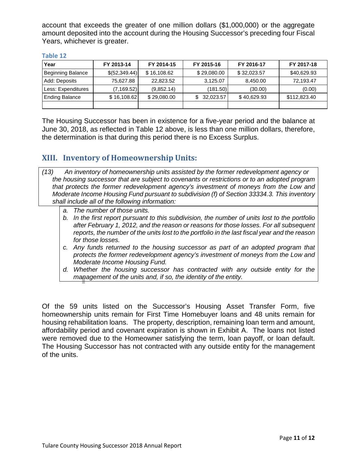account that exceeds the greater of one million dollars (\$1,000,000) or the aggregate amount deposited into the account during the Housing Successor's preceding four Fiscal Years, whichever is greater.

| Year                  | FY 2013-14      | FY 2014-15  | FY 2015-16  | FY 2016-17  | FY 2017-18   |  |
|-----------------------|-----------------|-------------|-------------|-------------|--------------|--|
| Beginning Balance     | \$ (52, 349.44) | \$16,108.62 | \$29,080.00 | \$32,023.57 | \$40,629.93  |  |
| Add: Deposits         | 75,627.88       | 22,823,52   | 3,125.07    | 8,450.00    | 72,193.47    |  |
| Less: Expenditures    | (7, 169.52)     | (9,852.14)  | (181.50)    | (30.00)     | (0.00)       |  |
| <b>Ending Balance</b> | \$16,108.62     | \$29,080.00 | 32,023.57   | \$40.629.93 | \$112,823.40 |  |
|                       |                 |             |             |             |              |  |

#### **Table 12**

The Housing Successor has been in existence for a five-year period and the balance at June 30, 2018, as reflected in Table 12 above, is less than one million dollars, therefore, the determination is that during this period there is no Excess Surplus.

## <span id="page-11-0"></span>**XIII. Inventory of Homeownership Units:**

- *the housing successor that are subject to covenants or restrictions or to an adopted program that protects the former redevelopment agency's investment of moneys from the Low and Moderate Income Housing Fund pursuant to subdivision (f) of Section 33334.3. This inventory shall include all of the following information: (13) An inventory of homeownership units assisted by the former redevelopment agency or*
	- *a. The number of those units.*
	- *b. In the first report pursuant to this subdivision, the number of units lost to the portfolio after February 1, 2012, and the reason or reasons for those losses. For all subsequent reports, the number of the units lost to the portfolio in the last fiscal year and the reason for those losses.*
	- *c. Any funds returned to the housing successor as part of an adopted program that protects the former redevelopment agency's investment of moneys from the Low and Moderate Income Housing Fund.*
	- *d. Whether the housing successor has contracted with any outside entity for the management of the units and, if so, the identity of the entity.*

Of the 59 units listed on the Successor's Housing Asset Transfer Form, five homeownership units remain for First Time Homebuyer loans and 48 units remain for housing rehabilitation loans. The property, description, remaining loan term and amount, affordability period and covenant expiration is shown in Exhibit A. The loans not listed were removed due to the Homeowner satisfying the term, loan payoff, or loan default. The Housing Successor has not contracted with any outside entity for the management of the units.